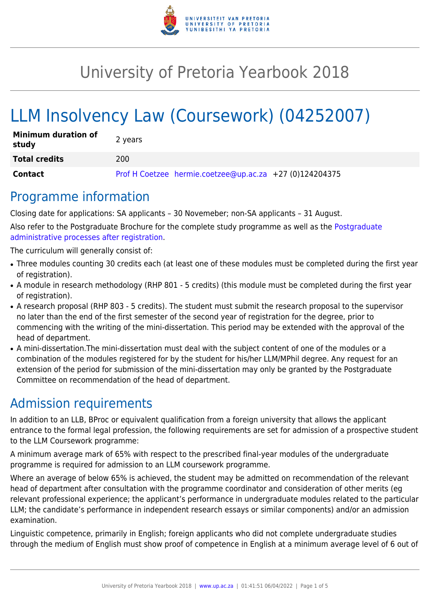

# University of Pretoria Yearbook 2018

# LLM Insolvency Law (Coursework) (04252007)

| <b>Minimum duration of</b><br>study | 2 years                                                 |
|-------------------------------------|---------------------------------------------------------|
| <b>Total credits</b>                | 200                                                     |
| Contact                             | Prof H Coetzee hermie.coetzee@up.ac.za +27 (0)124204375 |

### Programme information

Closing date for applications: SA applicants – 30 Novemeber; non-SA applicants – 31 August.

Also refer to the Postgraduate Brochure for the complete study programme as well as the [Postgraduate](http://www.up.ac.za/media/shared/10/ZP_Files/post-graduate-administrative-processes-brochures-for-the-faculty-web.zp124870.pdf) [administrative processes after registration.](http://www.up.ac.za/media/shared/10/ZP_Files/post-graduate-administrative-processes-brochures-for-the-faculty-web.zp124870.pdf)

The curriculum will generally consist of:

- Three modules counting 30 credits each (at least one of these modules must be completed during the first year of registration).
- A module in research methodology (RHP 801 5 credits) (this module must be completed during the first year of registration).
- A research proposal (RHP 803 5 credits). The student must submit the research proposal to the supervisor no later than the end of the first semester of the second year of registration for the degree, prior to commencing with the writing of the mini-dissertation. This period may be extended with the approval of the head of department.
- A mini-dissertation. The mini-dissertation must deal with the subject content of one of the modules or a combination of the modules registered for by the student for his/her LLM/MPhil degree. Any request for an extension of the period for submission of the mini-dissertation may only be granted by the Postgraduate Committee on recommendation of the head of department.

# Admission requirements

In addition to an LLB, BProc or equivalent qualification from a foreign university that allows the applicant entrance to the formal legal profession, the following requirements are set for admission of a prospective student to the LLM Coursework programme:

A minimum average mark of 65% with respect to the prescribed final-year modules of the undergraduate programme is required for admission to an LLM coursework programme.

Where an average of below 65% is achieved, the student may be admitted on recommendation of the relevant head of department after consultation with the programme coordinator and consideration of other merits (eg relevant professional experience; the applicant's performance in undergraduate modules related to the particular LLM; the candidate's performance in independent research essays or similar components) and/or an admission examination.

Linguistic competence, primarily in English; foreign applicants who did not complete undergraduate studies through the medium of English must show proof of competence in English at a minimum average level of 6 out of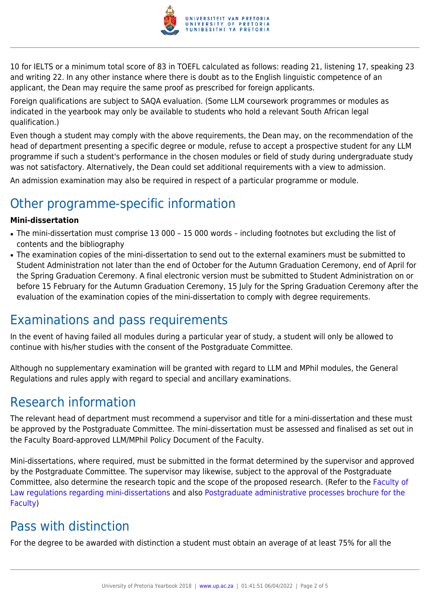

10 for IELTS or a minimum total score of 83 in TOEFL calculated as follows: reading 21, listening 17, speaking 23 and writing 22. In any other instance where there is doubt as to the English linguistic competence of an applicant, the Dean may require the same proof as prescribed for foreign applicants.

Foreign qualifications are subject to SAQA evaluation. (Some LLM coursework programmes or modules as indicated in the yearbook may only be available to students who hold a relevant South African legal qualification.)

Even though a student may comply with the above requirements, the Dean may, on the recommendation of the head of department presenting a specific degree or module, refuse to accept a prospective student for any LLM programme if such a student's performance in the chosen modules or field of study during undergraduate study was not satisfactory. Alternatively, the Dean could set additional requirements with a view to admission.

An admission examination may also be required in respect of a particular programme or module.

# Other programme-specific information

#### **Mini-dissertation**

- The mini-dissertation must comprise 13 000 15 000 words including footnotes but excluding the list of contents and the bibliography
- The examination copies of the mini-dissertation to send out to the external examiners must be submitted to Student Administration not later than the end of October for the Autumn Graduation Ceremony, end of April for the Spring Graduation Ceremony. A final electronic version must be submitted to Student Administration on or before 15 February for the Autumn Graduation Ceremony, 15 July for the Spring Graduation Ceremony after the evaluation of the examination copies of the mini-dissertation to comply with degree requirements.

### Examinations and pass requirements

In the event of having failed all modules during a particular year of study, a student will only be allowed to continue with his/her studies with the consent of the Postgraduate Committee.

Although no supplementary examination will be granted with regard to LLM and MPhil modules, the General Regulations and rules apply with regard to special and ancillary examinations.

### Research information

The relevant head of department must recommend a supervisor and title for a mini-dissertation and these must be approved by the Postgraduate Committee. The mini-dissertation must be assessed and finalised as set out in the Faculty Board-approved LLM/MPhil Policy Document of the Faculty.

Mini-dissertations, where required, must be submitted in the format determined by the supervisor and approved by the Postgraduate Committee. The supervisor may likewise, subject to the approval of the Postgraduate Committee, also determine the research topic and the scope of the proposed research. (Refer to the [Faculty of](http://www.up.ac.za/media/shared/10/ZP_Files/faculty-regulations-for-the-mini-dissertation.zp124872.pdf) [Law regulations regarding mini-dissertations](http://www.up.ac.za/media/shared/10/ZP_Files/faculty-regulations-for-the-mini-dissertation.zp124872.pdf) and also [Postgraduate administrative processes brochure for the](http://www.up.ac.za/media/shared/10/ZP_Files/post-graduate-administrative-processes-brochures-for-the-faculty-web.zp124870.pdf) [Faculty](http://www.up.ac.za/media/shared/10/ZP_Files/post-graduate-administrative-processes-brochures-for-the-faculty-web.zp124870.pdf))

# Pass with distinction

For the degree to be awarded with distinction a student must obtain an average of at least 75% for all the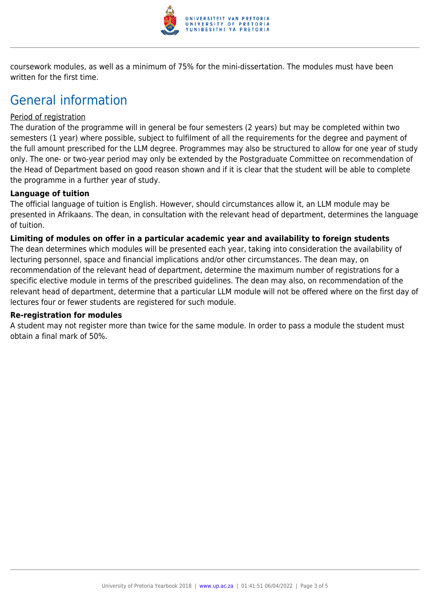

coursework modules, as well as a minimum of 75% for the mini-dissertation. The modules must have been written for the first time.

## General information

#### Period of registration

The duration of the programme will in general be four semesters (2 years) but may be completed within two semesters (1 year) where possible, subject to fulfilment of all the requirements for the degree and payment of the full amount prescribed for the LLM degree. Programmes may also be structured to allow for one year of study only. The one- or two-year period may only be extended by the Postgraduate Committee on recommendation of the Head of Department based on good reason shown and if it is clear that the student will be able to complete the programme in a further year of study.

#### **Language of tuition**

The official language of tuition is English. However, should circumstances allow it, an LLM module may be presented in Afrikaans. The dean, in consultation with the relevant head of department, determines the language of tuition.

#### **Limiting of modules on offer in a particular academic year and availability to foreign students**

The dean determines which modules will be presented each year, taking into consideration the availability of lecturing personnel, space and financial implications and/or other circumstances. The dean may, on recommendation of the relevant head of department, determine the maximum number of registrations for a specific elective module in terms of the prescribed guidelines. The dean may also, on recommendation of the relevant head of department, determine that a particular LLM module will not be offered where on the first day of lectures four or fewer students are registered for such module.

#### **Re-registration for modules**

A student may not register more than twice for the same module. In order to pass a module the student must obtain a final mark of 50%.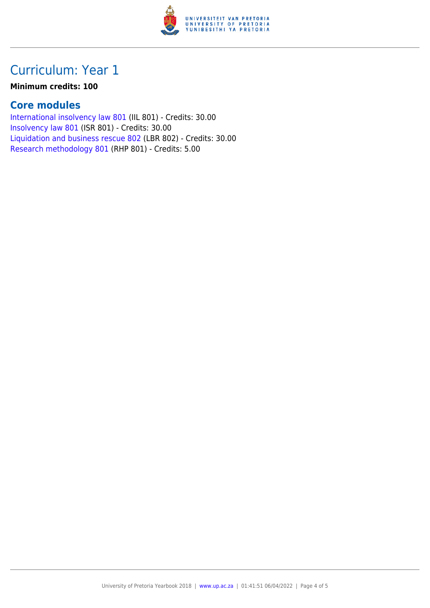

# Curriculum: Year 1

#### **Minimum credits: 100**

#### **Core modules**

[International insolvency law 801](https://www.up.ac.za/yearbooks/2018/modules/view/IIL 801) (IIL 801) - Credits: 30.00 [Insolvency law 801](https://www.up.ac.za/yearbooks/2018/modules/view/ISR 801) (ISR 801) - Credits: 30.00 [Liquidation and business rescue 802](https://www.up.ac.za/yearbooks/2018/modules/view/LBR 802) (LBR 802) - Credits: 30.00 [Research methodology 801](https://www.up.ac.za/yearbooks/2018/modules/view/RHP 801) (RHP 801) - Credits: 5.00